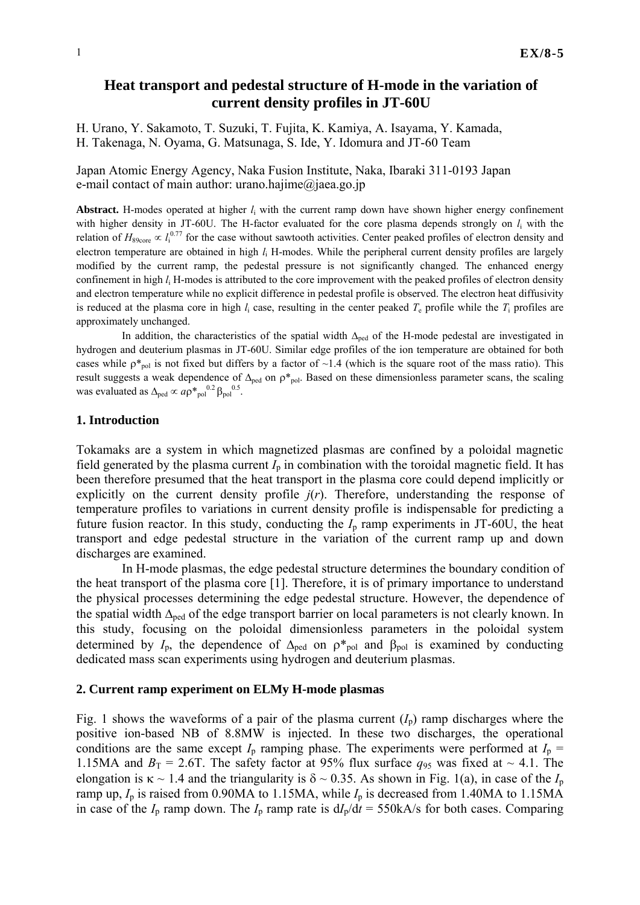# **Heat transport and pedestal structure of H-mode in the variation of current density profiles in JT-60U**

H. Urano, Y. Sakamoto, T. Suzuki, T. Fujita, K. Kamiya, A. Isayama, Y. Kamada, H. Takenaga, N. Oyama, G. Matsunaga, S. Ide, Y. Idomura and JT-60 Team

Japan Atomic Energy Agency, Naka Fusion Institute, Naka, Ibaraki 311-0193 Japan e-mail contact of main author: urano.hajime@jaea.go.jp

**Abstract.** H-modes operated at higher *l*i with the current ramp down have shown higher energy confinement with higher density in JT-60U. The H-factor evaluated for the core plasma depends strongly on *l*i with the relation of  $H_{89\text{core}} \propto l_1^{0.77}$  for the case without sawtooth activities. Center peaked profiles of electron density and electron temperature are obtained in high *l*i H-modes. While the peripheral current density profiles are largely modified by the current ramp, the pedestal pressure is not significantly changed. The enhanced energy confinement in high *l*i H-modes is attributed to the core improvement with the peaked profiles of electron density and electron temperature while no explicit difference in pedestal profile is observed. The electron heat diffusivity is reduced at the plasma core in high  $l_i$  case, resulting in the center peaked  $T_e$  profile while the  $T_i$  profiles are approximately unchanged.

In addition, the characteristics of the spatial width  $\Delta_{\text{ped}}$  of the H-mode pedestal are investigated in hydrogen and deuterium plasmas in JT-60U. Similar edge profiles of the ion temperature are obtained for both cases while  $p_{pol}^*$  is not fixed but differs by a factor of ~1.4 (which is the square root of the mass ratio). This result suggests a weak dependence of  $\Delta_{\text{ped}}$  on  $\rho^*_{\text{pol}}$ . Based on these dimensionless parameter scans, the scaling was evaluated as  $\Delta_{\text{ped}} \propto a \rho^*_{\text{pol}}^{0.2} \beta_{\text{pol}}^{0.5}$ .

# **1. Introduction**

Tokamaks are a system in which magnetized plasmas are confined by a poloidal magnetic field generated by the plasma current  $I_p$  in combination with the toroidal magnetic field. It has been therefore presumed that the heat transport in the plasma core could depend implicitly or explicitly on the current density profile  $j(r)$ . Therefore, understanding the response of temperature profiles to variations in current density profile is indispensable for predicting a future fusion reactor. In this study, conducting the  $I<sub>p</sub>$  ramp experiments in JT-60U, the heat transport and edge pedestal structure in the variation of the current ramp up and down discharges are examined.

In H-mode plasmas, the edge pedestal structure determines the boundary condition of the heat transport of the plasma core [1]. Therefore, it is of primary importance to understand the physical processes determining the edge pedestal structure. However, the dependence of the spatial width  $\Delta_{\text{ned}}$  of the edge transport barrier on local parameters is not clearly known. In this study, focusing on the poloidal dimensionless parameters in the poloidal system determined by  $I_p$ , the dependence of  $\Delta_{\text{ped}}$  on  $\rho^*_{\text{pol}}$  and  $\beta_{\text{pol}}$  is examined by conducting dedicated mass scan experiments using hydrogen and deuterium plasmas.

# **2. Current ramp experiment on ELMy H-mode plasmas**

Fig. 1 shows the waveforms of a pair of the plasma current  $(I_p)$  ramp discharges where the positive ion-based NB of 8.8MW is injected. In these two discharges, the operational conditions are the same except  $I_p$  ramping phase. The experiments were performed at  $I_p$  = 1.15MA and  $B_T = 2.6$ T. The safety factor at 95% flux surface  $q_{95}$  was fixed at ~ 4.1. The elongation is  $\kappa \sim 1.4$  and the triangularity is  $\delta \sim 0.35$ . As shown in Fig. 1(a), in case of the  $I_p$ ramp up,  $I_p$  is raised from 0.90MA to 1.15MA, while  $I_p$  is decreased from 1.40MA to 1.15MA in case of the  $I_p$  ramp down. The  $I_p$  ramp rate is  $dI_p/dt = 550kA/s$  for both cases. Comparing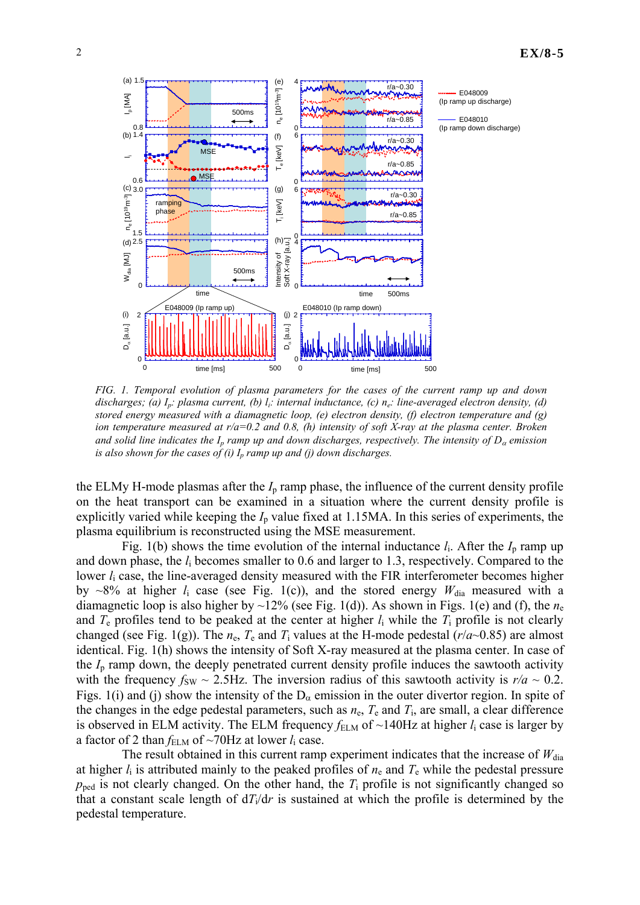# 2 **EX/8-5**



*FIG. 1. Temporal evolution of plasma parameters for the cases of the current ramp up and down discharges; (a) Ip: plasma current, (b) li: internal inductance, (c) ne: line-averaged electron density, (d) stored energy measured with a diamagnetic loop, (e) electron density, (f) electron temperature and (g) ion temperature measured at r/a=0.2 and 0.8, (h) intensity of soft X-ray at the plasma center. Broken and solid line indicates the Ip ramp up and down discharges, respectively. The intensity of D*α *emission is also shown for the cases of (i)*  $I_p$  *ramp up and (j) down discharges.* 

the ELMy H-mode plasmas after the  $I<sub>p</sub>$  ramp phase, the influence of the current density profile on the heat transport can be examined in a situation where the current density profile is explicitly varied while keeping the  $I_p$  value fixed at 1.15MA. In this series of experiments, the plasma equilibrium is reconstructed using the MSE measurement.

Fig. 1(b) shows the time evolution of the internal inductance  $l_i$ . After the  $I_p$  ramp up and down phase, the *l*i becomes smaller to 0.6 and larger to 1.3, respectively. Compared to the lower  $l_i$  case, the line-averaged density measured with the FIR interferometer becomes higher by  $\sim$ 8% at higher  $l_i$  case (see Fig. 1(c)), and the stored energy  $W_{dia}$  measured with a diamagnetic loop is also higher by  $\sim$ 12% (see Fig. 1(d)). As shown in Figs. 1(e) and (f), the  $n_e$ and  $T_e$  profiles tend to be peaked at the center at higher  $l_i$  while the  $T_i$  profile is not clearly changed (see Fig. 1(g)). The  $n_e$ ,  $T_e$  and  $T_i$  values at the H-mode pedestal ( $r/a \sim 0.85$ ) are almost identical. Fig. 1(h) shows the intensity of Soft X-ray measured at the plasma center. In case of the *I*p ramp down, the deeply penetrated current density profile induces the sawtooth activity with the frequency  $f_{SW} \sim 2.5$  Hz. The inversion radius of this sawtooth activity is  $r/a \sim 0.2$ . Figs. 1(i) and (j) show the intensity of the  $D_{\alpha}$  emission in the outer divertor region. In spite of the changes in the edge pedestal parameters, such as  $n_e$ ,  $T_e$  and  $T_i$ , are small, a clear difference is observed in ELM activity. The ELM frequency  $f_{\text{ELM}}$  of  $\sim$ 140Hz at higher  $l_i$  case is larger by a factor of 2 than  $f_{\text{ELM}}$  of ~70Hz at lower  $l_i$  case.

The result obtained in this current ramp experiment indicates that the increase of  $W_{dia}$ at higher  $l_i$  is attributed mainly to the peaked profiles of  $n_e$  and  $T_e$  while the pedestal pressure  $p_{\text{ped}}$  is not clearly changed. On the other hand, the  $T_i$  profile is not significantly changed so that a constant scale length of  $dT_i/dr$  is sustained at which the profile is determined by the pedestal temperature.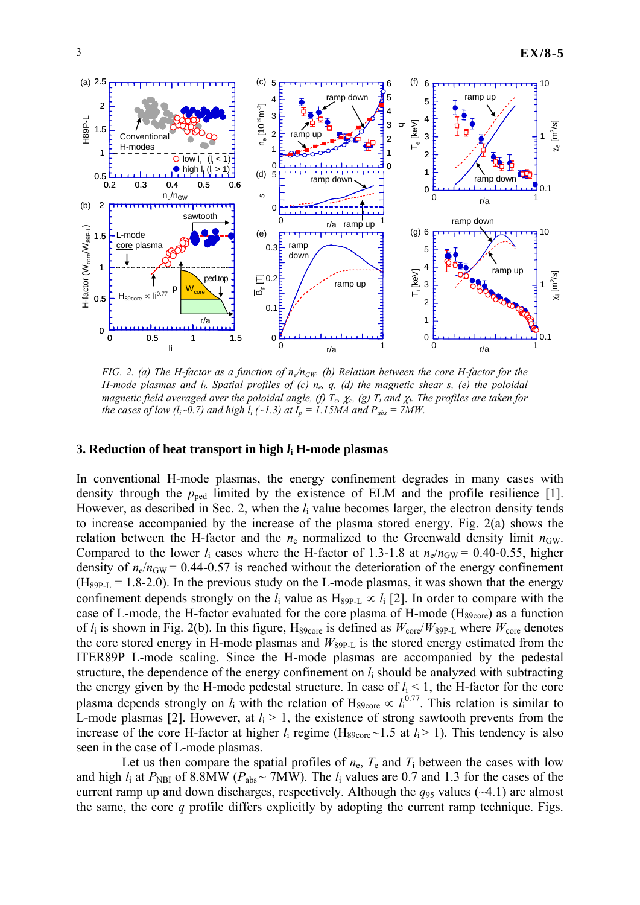

*FIG. 2. (a) The H-factor as a function of*  $n_e/n_{GW}$ *. (b) Relation between the core H-factor for the H-mode plasmas and li. Spatial profiles of (c) ne, q, (d) the magnetic shear s, (e) the poloidal magnetic field averaged over the poloidal angle, (f) Te,* χ*e, (g) Ti and* χ*i. The profiles are taken for the cases of low (l<sub>i</sub>~0.7) and high l<sub>i</sub> (~1.3) at*  $I_p = 1.15MA$  *and*  $P_{abs} = 7MW$ *.* 

#### **3. Reduction of heat transport in high** *l***i H-mode plasmas**

In conventional H-mode plasmas, the energy confinement degrades in many cases with density through the  $p_{\text{ped}}$  limited by the existence of ELM and the profile resilience [1]. However, as described in Sec. 2, when the *l*i value becomes larger, the electron density tends to increase accompanied by the increase of the plasma stored energy. Fig. 2(a) shows the relation between the H-factor and the  $n_e$  normalized to the Greenwald density limit  $n_{GW}$ . Compared to the lower  $l_i$  cases where the H-factor of 1.3-1.8 at  $n_e/n_{GW} = 0.40$ -0.55, higher density of  $n_e/n_{\text{GW}}$  = 0.44-0.57 is reached without the deterioration of the energy confinement  $(H_{89P-L} = 1.8-2.0)$ . In the previous study on the L-mode plasmas, it was shown that the energy confinement depends strongly on the  $l_i$  value as H<sub>89P-L</sub>  $\propto l_i$  [2]. In order to compare with the case of L-mode, the H-factor evaluated for the core plasma of H-mode  $(H_{89core})$  as a function of  $l_i$  is shown in Fig. 2(b). In this figure, H<sub>89core</sub> is defined as  $W_{\text{core}}/W_{89P\text{-}L}$  where  $W_{\text{core}}$  denotes the core stored energy in H-mode plasmas and  $W_{89P\text{-}L}$  is the stored energy estimated from the ITER89P L-mode scaling. Since the H-mode plasmas are accompanied by the pedestal structure, the dependence of the energy confinement on *l*i should be analyzed with subtracting the energy given by the H-mode pedestal structure. In case of  $l_i < 1$ , the H-factor for the core plasma depends strongly on  $l_i$  with the relation of H<sub>89core</sub>  $\propto l_i^{0.77}$ . This relation is similar to L-mode plasmas [2]. However, at  $l_i > 1$ , the existence of strong sawtooth prevents from the increase of the core H-factor at higher  $l_i$  regime (H<sub>89core</sub> ~1.5 at  $l_i$  > 1). This tendency is also seen in the case of L-mode plasmas.

Let us then compare the spatial profiles of  $n_e$ ,  $T_e$  and  $T_i$  between the cases with low and high  $l_i$  at  $P_{\text{NBI}}$  of 8.8MW ( $P_{\text{abs}} \sim 7$ MW). The  $l_i$  values are 0.7 and 1.3 for the cases of the current ramp up and down discharges, respectively. Although the  $q_{95}$  values ( $\sim$ 4.1) are almost the same, the core *q* profile differs explicitly by adopting the current ramp technique. Figs.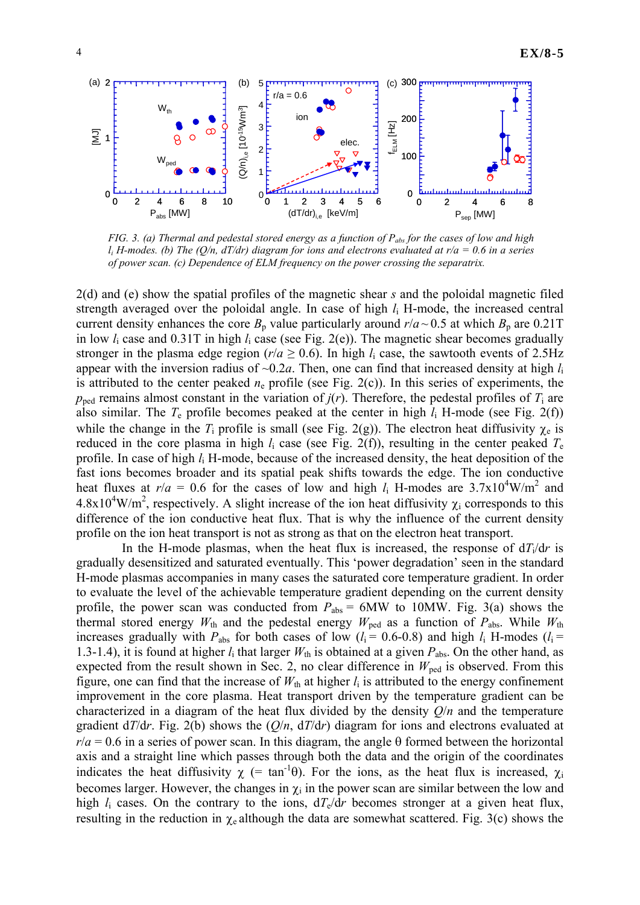

*FIG. 3. (a) Thermal and pedestal stored energy as a function of P<sub>abs</sub> for the cases of low and high li H-modes. (b) The (Q/n, dT/dr) diagram for ions and electrons evaluated at r/a = 0.6 in a series of power scan. (c) Dependence of ELM frequency on the power crossing the separatrix.* 

2(d) and (e) show the spatial profiles of the magnetic shear *s* and the poloidal magnetic filed strength averaged over the poloidal angle. In case of high *l*i H-mode, the increased central current density enhances the core  $B_p$  value particularly around  $r/a \sim 0.5$  at which  $B_p$  are 0.21T in low *l*i case and 0.31T in high *l*i case (see Fig. 2(e)). The magnetic shear becomes gradually stronger in the plasma edge region ( $r/a \ge 0.6$ ). In high  $l_i$  case, the sawtooth events of 2.5Hz appear with the inversion radius of  $\sim 0.2a$ . Then, one can find that increased density at high  $l_i$ is attributed to the center peaked  $n_e$  profile (see Fig. 2(c)). In this series of experiments, the  $p_{\text{ped}}$  remains almost constant in the variation of  $j(r)$ . Therefore, the pedestal profiles of  $T_i$  are also similar. The *T*e profile becomes peaked at the center in high *l*i H-mode (see Fig. 2(f)) while the change in the  $T_i$  profile is small (see Fig. 2(g)). The electron heat diffusivity  $\chi_e$  is reduced in the core plasma in high  $l_i$  case (see Fig. 2(f)), resulting in the center peaked  $T_e$ profile. In case of high *l*i H-mode, because of the increased density, the heat deposition of the fast ions becomes broader and its spatial peak shifts towards the edge. The ion conductive heat fluxes at  $r/a = 0.6$  for the cases of low and high  $l_i$  H-modes are  $3.7 \times 10^4$ W/m<sup>2</sup> and  $4.8 \times 10^4$ W/m<sup>2</sup>, respectively. A slight increase of the ion heat diffusivity  $\chi_i$  corresponds to this difference of the ion conductive heat flux. That is why the influence of the current density profile on the ion heat transport is not as strong as that on the electron heat transport.

In the H-mode plasmas, when the heat flux is increased, the response of  $d*T<sub>i</sub>/dr*$  is gradually desensitized and saturated eventually. This 'power degradation' seen in the standard H-mode plasmas accompanies in many cases the saturated core temperature gradient. In order to evaluate the level of the achievable temperature gradient depending on the current density profile, the power scan was conducted from  $P_{\text{abs}} = 6$ MW to 10MW. Fig. 3(a) shows the thermal stored energy  $W_{th}$  and the pedestal energy  $W_{ped}$  as a function of  $P_{abs}$ . While  $W_{th}$ increases gradually with  $P_{\text{abs}}$  for both cases of low ( $l_i = 0.6{\text -}0.8$ ) and high  $l_i$  H-modes ( $l_i =$ 1.3-1.4), it is found at higher  $l_i$  that larger  $W_{th}$  is obtained at a given  $P_{abs}$ . On the other hand, as expected from the result shown in Sec. 2, no clear difference in  $W_{\text{ped}}$  is observed. From this figure, one can find that the increase of  $W_{th}$  at higher  $l_i$  is attributed to the energy confinement improvement in the core plasma. Heat transport driven by the temperature gradient can be characterized in a diagram of the heat flux divided by the density *Q*/*n* and the temperature gradient d*T*/d*r*. Fig. 2(b) shows the (*Q*/*n*, d*T*/d*r*) diagram for ions and electrons evaluated at  $r/a = 0.6$  in a series of power scan. In this diagram, the angle  $\theta$  formed between the horizontal axis and a straight line which passes through both the data and the origin of the coordinates indicates the heat diffusivity  $\chi$  (= tan<sup>-1</sup>θ). For the ions, as the heat flux is increased,  $\chi_i$ becomes larger. However, the changes in  $\chi_i$  in the power scan are similar between the low and high  $l_i$  cases. On the contrary to the ions,  $dT_e/dr$  becomes stronger at a given heat flux, resulting in the reduction in  $\chi_e$  although the data are somewhat scattered. Fig. 3(c) shows the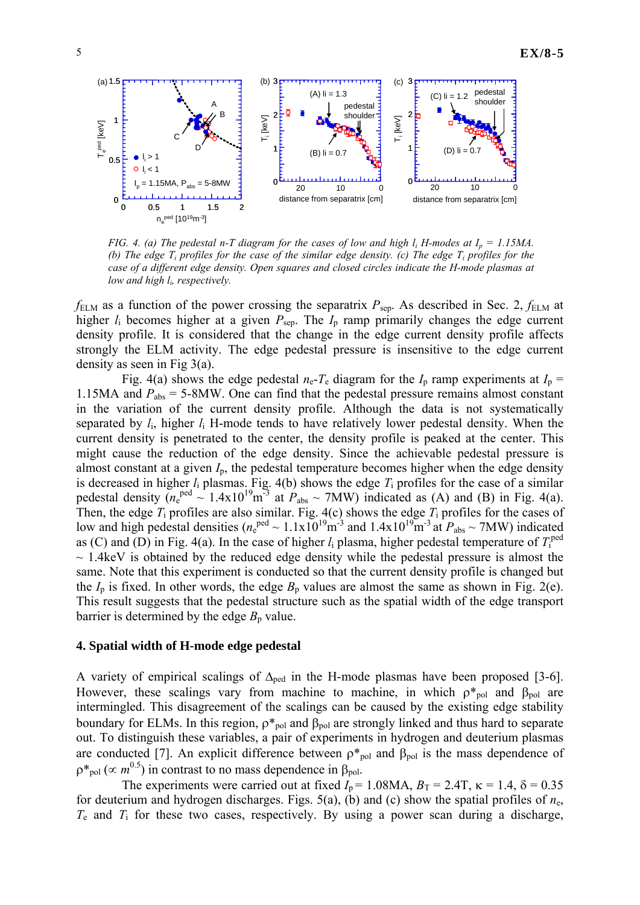

*FIG. 4. (a) The pedestal n-T diagram for the cases of low and high*  $l_i$  *H-modes at*  $I_p = 1.15MA$ *. (b) The edge*  $T_i$  *profiles for the case of the similar edge density. (c) The edge*  $T_i$  *profiles for the case of a different edge density. Open squares and closed circles indicate the H-mode plasmas at low and high li, respectively.*

 $f_{\text{ELM}}$  as a function of the power crossing the separatrix  $P_{\text{sep}}$ . As described in Sec. 2,  $f_{\text{ELM}}$  at higher *l*<sub>i</sub> becomes higher at a given  $P_{\text{sep}}$ . The *I*<sub>p</sub> ramp primarily changes the edge current density profile. It is considered that the change in the edge current density profile affects strongly the ELM activity. The edge pedestal pressure is insensitive to the edge current density as seen in Fig 3(a).

Fig. 4(a) shows the edge pedestal  $n_e$ - $T_e$  diagram for the  $I_p$  ramp experiments at  $I_p$  = 1.15MA and  $P_{\text{abs}} = 5$ -8MW. One can find that the pedestal pressure remains almost constant in the variation of the current density profile. Although the data is not systematically separated by  $l_i$ , higher  $l_i$  H-mode tends to have relatively lower pedestal density. When the current density is penetrated to the center, the density profile is peaked at the center. This might cause the reduction of the edge density. Since the achievable pedestal pressure is almost constant at a given *I*p, the pedestal temperature becomes higher when the edge density is decreased in higher *l*i plasmas. Fig. 4(b) shows the edge *T*i profiles for the case of a similar pedestal density  $(n_e^{ped} \sim 1.4 \times 10^{19} \text{m}^{-3}$  at  $P_{abs} \sim 7 \text{MW})$  indicated as (A) and (B) in Fig. 4(a). Then, the edge *T*i profiles are also similar. Fig. 4(c) shows the edge *T*i profiles for the cases of low and high pedestal densities ( $n_e^{ped} \sim 1.1 \times 10^{19} \text{m}^3$  and  $1.4 \times 10^{19} \text{m}^3$  at  $P_{abs} \sim 7 \text{MW}$ ) indicated as (C) and (D) in Fig. 4(a). In the case of higher  $l_i$  plasma, higher pedestal temperature of  $T_i^{\text{ped}}$  $\sim$  1.4keV is obtained by the reduced edge density while the pedestal pressure is almost the same. Note that this experiment is conducted so that the current density profile is changed but the  $I_p$  is fixed. In other words, the edge  $B_p$  values are almost the same as shown in Fig. 2(e). This result suggests that the pedestal structure such as the spatial width of the edge transport barrier is determined by the edge  $B_p$  value.

#### **4. Spatial width of H-mode edge pedestal**

A variety of empirical scalings of  $\Delta_{\text{ped}}$  in the H-mode plasmas have been proposed [3-6]. However, these scalings vary from machine to machine, in which  $\rho^*_{pol}$  and  $\beta_{pol}$  are intermingled. This disagreement of the scalings can be caused by the existing edge stability boundary for ELMs. In this region,  $\rho_{pol}^*$  and  $\beta_{pol}$  are strongly linked and thus hard to separate out. To distinguish these variables, a pair of experiments in hydrogen and deuterium plasmas are conducted [7]. An explicit difference between  $\rho^*_{pol}$  and  $\beta_{pol}$  is the mass dependence of  $p^*_{pol}$  ( $\propto m^{0.5}$ ) in contrast to no mass dependence in  $\beta_{pol}$ .

The experiments were carried out at fixed  $I_p = 1.08MA$ ,  $B_T = 2.4T$ ,  $\kappa = 1.4$ ,  $\delta = 0.35$ for deuterium and hydrogen discharges. Figs. 5(a), (b) and (c) show the spatial profiles of *n*e, *T*e and *T*i for these two cases, respectively. By using a power scan during a discharge,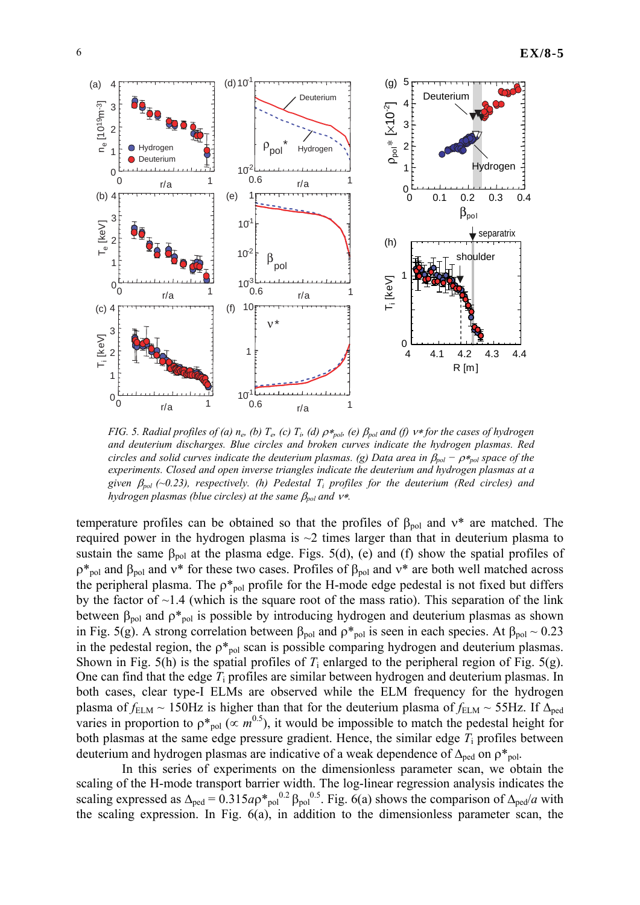

*FIG.* 5. Radial profiles of (a) n<sub>e</sub>, (b) T<sub>e</sub>, (c) T<sub>i</sub>, (d)  $ρ∗_{pol}$  (e)  $β_{pol}$  and (f)  $ν∗$  *for the cases of hydrogen and deuterium discharges. Blue circles and broken curves indicate the hydrogen plasmas. Red circles and solid curves indicate the deuterium plasmas. (g) Data area in*  $\beta_{pol} - \rho *_{pol}$  *space of the experiments. Closed and open inverse triangles indicate the deuterium and hydrogen plasmas at a given* β*pol (~0.23), respectively. (h) Pedestal Ti profiles for the deuterium (Red circles) and hydrogen plasmas (blue circles) at the same* β*pol and* ν∗*.* 

temperature profiles can be obtained so that the profiles of  $\beta_{\text{pol}}$  and  $v^*$  are matched. The required power in the hydrogen plasma is  $\sim$ 2 times larger than that in deuterium plasma to sustain the same  $\beta_{pol}$  at the plasma edge. Figs. 5(d), (e) and (f) show the spatial profiles of  $ρ*_{pol}$  and  $β_{pol}$  and  $ν*$  for these two cases. Profiles of  $β_{pol}$  and  $ν*$  are both well matched across the peripheral plasma. The  $p*_{pol}$  profile for the H-mode edge pedestal is not fixed but differs by the factor of  $\sim$ 1.4 (which is the square root of the mass ratio). This separation of the link between  $\beta_{pol}$  and  $\rho *_{pol}$  is possible by introducing hydrogen and deuterium plasmas as shown in Fig. 5(g). A strong correlation between  $\beta_{pol}$  and  $\rho^*_{pol}$  is seen in each species. At  $\beta_{pol} \sim 0.23$ in the pedestal region, the  $p_{\text{pol}}^*$  scan is possible comparing hydrogen and deuterium plasmas. Shown in Fig. 5(h) is the spatial profiles of  $T_i$  enlarged to the peripheral region of Fig. 5(g). One can find that the edge *T*i profiles are similar between hydrogen and deuterium plasmas. In both cases, clear type-I ELMs are observed while the ELM frequency for the hydrogen plasma of  $f_{\text{ELM}} \sim 150$ Hz is higher than that for the deuterium plasma of  $f_{\text{ELM}} \sim 55$ Hz. If  $\Delta_{\text{ped}}$ varies in proportion to  $p_{pol}^*$  ( $\propto m^{0.5}$ ), it would be impossible to match the pedestal height for both plasmas at the same edge pressure gradient. Hence, the similar edge *T*i profiles between deuterium and hydrogen plasmas are indicative of a weak dependence of  $\Delta_{\text{ped}}$  on  $\rho^*_{\text{pol}}$ .

In this series of experiments on the dimensionless parameter scan, we obtain the scaling of the H-mode transport barrier width. The log-linear regression analysis indicates the scaling expressed as  $\Delta_{\text{ped}} = 0.315a\rho *_{\text{pol}}^{0.2} \beta_{\text{pol}}^{0.5}$ . Fig. 6(a) shows the comparison of  $\Delta_{\text{ped}}/a$  with the scaling expression. In Fig. 6(a), in addition to the dimensionless parameter scan, the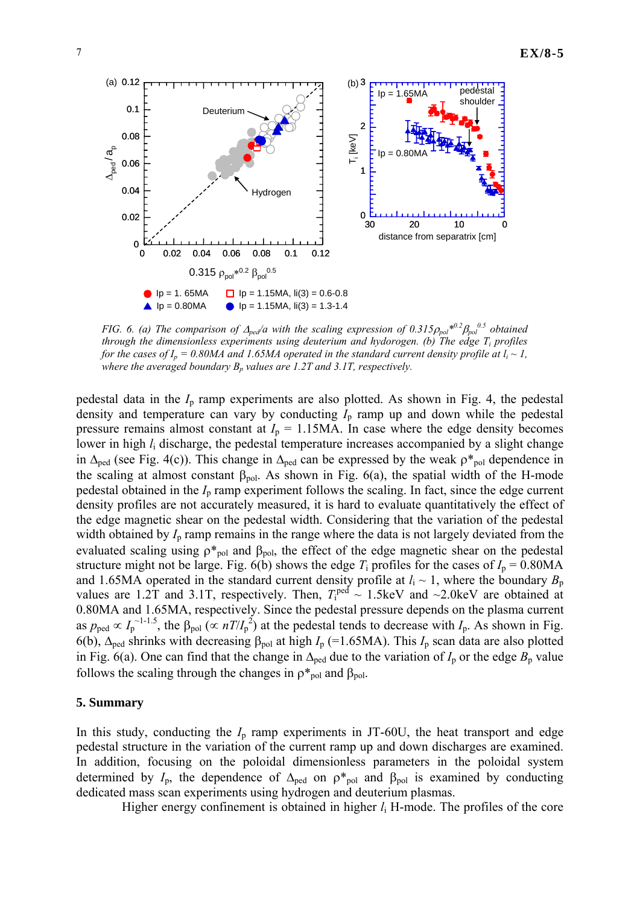

*FIG. 6. (a) The comparison of*  $\Delta_{ped}/a$  *with the scaling expression of 0.315* $\rho_{pol}^{*0.2}\beta_{pol}^{0.5}$  *obtained through the dimensionless experiments using deuterium and hydorogen. (b) The edge Ti profiles for the cases of*  $I_p = 0.80MA$  *and 1.65MA operated in the standard current density profile at*  $l_i \sim I$ *, where the averaged boundary*  $B_p$  *values are 1.2T and 3.1T, respectively.* 

pedestal data in the *I*p ramp experiments are also plotted. As shown in Fig. 4, the pedestal density and temperature can vary by conducting  $I_p$  ramp up and down while the pedestal pressure remains almost constant at  $I_p = 1.15 \text{MA}$ . In case where the edge density becomes lower in high  $l_i$  discharge, the pedestal temperature increases accompanied by a slight change in  $\Delta_{\text{ped}}$  (see Fig. 4(c)). This change in  $\Delta_{\text{ped}}$  can be expressed by the weak  $\rho^*_{\text{pol}}$  dependence in the scaling at almost constant  $\beta_{pol}$ . As shown in Fig. 6(a), the spatial width of the H-mode pedestal obtained in the  $I_p$  ramp experiment follows the scaling. In fact, since the edge current density profiles are not accurately measured, it is hard to evaluate quantitatively the effect of the edge magnetic shear on the pedestal width. Considering that the variation of the pedestal width obtained by  $I<sub>p</sub>$  ramp remains in the range where the data is not largely deviated from the evaluated scaling using  $\rho_{\text{pol}}^*$  and  $\beta_{\text{pol}}$ , the effect of the edge magnetic shear on the pedestal structure might not be large. Fig. 6(b) shows the edge  $T_i$  profiles for the cases of  $I_p = 0.80MA$ and 1.65MA operated in the standard current density profile at  $l_i \sim 1$ , where the boundary  $B_p$ values are 1.2T and 3.1T, respectively. Then,  $T_1^{\text{ped}} \sim 1.5 \text{keV}$  and  $\sim 2.0 \text{keV}$  are obtained at 0.80MA and 1.65MA, respectively. Since the pedestal pressure depends on the plasma current as  $p_{\text{ped}} \propto I_p^{\sim 1-1.5}$ , the  $\beta_{\text{pol}} \left(\propto n / I_p^2\right)$  at the pedestal tends to decrease with  $I_p$ . As shown in Fig. 6(b), Δped shrinks with decreasing βpol at high *I*p (=1.65MA). This *I*p scan data are also plotted in Fig. 6(a). One can find that the change in  $\Delta_{\text{ped}}$  due to the variation of  $I_p$  or the edge  $B_p$  value follows the scaling through the changes in  $\rho^*_{pol}$  and  $\beta_{pol}$ .

### **5. Summary**

In this study, conducting the  $I_p$  ramp experiments in JT-60U, the heat transport and edge pedestal structure in the variation of the current ramp up and down discharges are examined. In addition, focusing on the poloidal dimensionless parameters in the poloidal system determined by  $I_p$ , the dependence of  $\Delta_{\text{ped}}$  on  $\rho^*_{\text{pol}}$  and  $\beta_{\text{pol}}$  is examined by conducting dedicated mass scan experiments using hydrogen and deuterium plasmas.

Higher energy confinement is obtained in higher *l*i H-mode. The profiles of the core